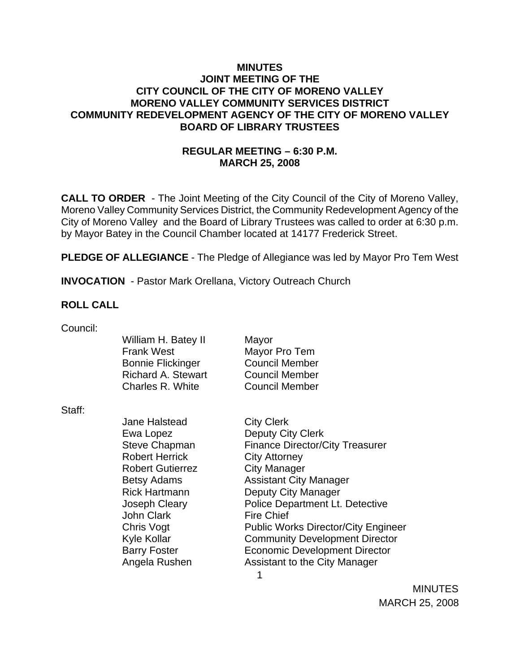## **MINUTES JOINT MEETING OF THE CITY COUNCIL OF THE CITY OF MORENO VALLEY MORENO VALLEY COMMUNITY SERVICES DISTRICT COMMUNITY REDEVELOPMENT AGENCY OF THE CITY OF MORENO VALLEY BOARD OF LIBRARY TRUSTEES**

# **REGULAR MEETING – 6:30 P.M. MARCH 25, 2008**

**CALL TO ORDER** - The Joint Meeting of the City Council of the City of Moreno Valley, Moreno Valley Community Services District, the Community Redevelopment Agency of the City of Moreno Valley and the Board of Library Trustees was called to order at 6:30 p.m. by Mayor Batey in the Council Chamber located at 14177 Frederick Street.

**PLEDGE OF ALLEGIANCE** - The Pledge of Allegiance was led by Mayor Pro Tem West

**INVOCATION** - Pastor Mark Orellana, Victory Outreach Church

#### **ROLL CALL**

| Council: |                           |                                            |
|----------|---------------------------|--------------------------------------------|
|          | William H. Batey II       | Mayor                                      |
|          | <b>Frank West</b>         | Mayor Pro Tem                              |
|          | <b>Bonnie Flickinger</b>  | <b>Council Member</b>                      |
|          | <b>Richard A. Stewart</b> | <b>Council Member</b>                      |
|          | Charles R. White          | <b>Council Member</b>                      |
| Staff:   |                           |                                            |
|          | <b>Jane Halstead</b>      | <b>City Clerk</b>                          |
|          | Ewa Lopez                 | Deputy City Clerk                          |
|          | <b>Steve Chapman</b>      | <b>Finance Director/City Treasurer</b>     |
|          | <b>Robert Herrick</b>     | <b>City Attorney</b>                       |
|          | <b>Robert Gutierrez</b>   | City Manager                               |
|          | <b>Betsy Adams</b>        | <b>Assistant City Manager</b>              |
|          | <b>Rick Hartmann</b>      | Deputy City Manager                        |
|          | Joseph Cleary             | Police Department Lt. Detective            |
|          | John Clark                | <b>Fire Chief</b>                          |
|          | Chris Vogt                | <b>Public Works Director/City Engineer</b> |
|          | <b>Kyle Kollar</b>        | <b>Community Development Director</b>      |
|          | <b>Barry Foster</b>       | <b>Economic Development Director</b>       |
|          | Angela Rushen             | Assistant to the City Manager              |
|          |                           | 1                                          |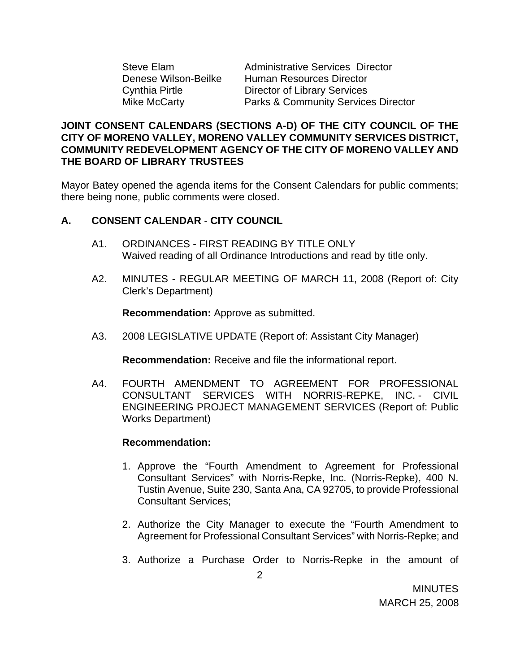Steve Elam Administrative Services Director Denese Wilson-Beilke Human Resources Director Cynthia Pirtle Director of Library Services Mike McCarty Parks & Community Services Director

## **JOINT CONSENT CALENDARS (SECTIONS A-D) OF THE CITY COUNCIL OF THE CITY OF MORENO VALLEY, MORENO VALLEY COMMUNITY SERVICES DISTRICT, COMMUNITY REDEVELOPMENT AGENCY OF THE CITY OF MORENO VALLEY AND THE BOARD OF LIBRARY TRUSTEES**

Mayor Batey opened the agenda items for the Consent Calendars for public comments; there being none, public comments were closed.

# **A. CONSENT CALENDAR** - **CITY COUNCIL**

- A1. ORDINANCES FIRST READING BY TITLE ONLY Waived reading of all Ordinance Introductions and read by title only.
- A2. MINUTES REGULAR MEETING OF MARCH 11, 2008 (Report of: City Clerk's Department)

**Recommendation:** Approve as submitted.

A3. 2008 LEGISLATIVE UPDATE (Report of: Assistant City Manager)

**Recommendation:** Receive and file the informational report.

A4. FOURTH AMENDMENT TO AGREEMENT FOR PROFESSIONAL CONSULTANT SERVICES WITH NORRIS-REPKE, INC. - CIVIL ENGINEERING PROJECT MANAGEMENT SERVICES (Report of: Public Works Department)

#### **Recommendation:**

- 1. Approve the "Fourth Amendment to Agreement for Professional Consultant Services" with Norris-Repke, Inc. (Norris-Repke), 400 N. Tustin Avenue, Suite 230, Santa Ana, CA 92705, to provide Professional Consultant Services;
- 2. Authorize the City Manager to execute the "Fourth Amendment to Agreement for Professional Consultant Services" with Norris-Repke; and
- 3. Authorize a Purchase Order to Norris-Repke in the amount of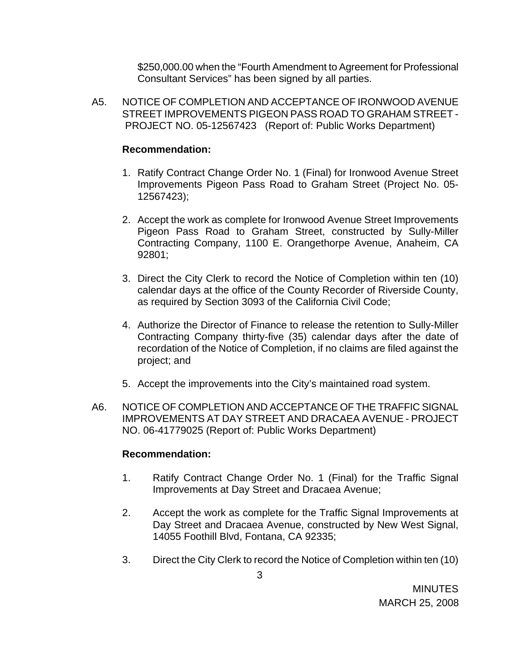\$250,000.00 when the "Fourth Amendment to Agreement for Professional Consultant Services" has been signed by all parties.

A5. NOTICE OF COMPLETION AND ACCEPTANCE OF IRONWOOD AVENUE STREET IMPROVEMENTS PIGEON PASS ROAD TO GRAHAM STREET - PROJECT NO. 05-12567423 (Report of: Public Works Department)

### **Recommendation:**

- 1. Ratify Contract Change Order No. 1 (Final) for Ironwood Avenue Street Improvements Pigeon Pass Road to Graham Street (Project No. 05- 12567423);
- 2. Accept the work as complete for Ironwood Avenue Street Improvements Pigeon Pass Road to Graham Street, constructed by Sully-Miller Contracting Company, 1100 E. Orangethorpe Avenue, Anaheim, CA 92801;
- 3. Direct the City Clerk to record the Notice of Completion within ten (10) calendar days at the office of the County Recorder of Riverside County, as required by Section 3093 of the California Civil Code;
- 4. Authorize the Director of Finance to release the retention to Sully-Miller Contracting Company thirty-five (35) calendar days after the date of recordation of the Notice of Completion, if no claims are filed against the project; and
- 5. Accept the improvements into the City's maintained road system.
- A6. NOTICE OF COMPLETION AND ACCEPTANCE OF THE TRAFFIC SIGNAL IMPROVEMENTS AT DAY STREET AND DRACAEA AVENUE - PROJECT NO. 06-41779025 (Report of: Public Works Department)

#### **Recommendation:**

- 1. Ratify Contract Change Order No. 1 (Final) for the Traffic Signal Improvements at Day Street and Dracaea Avenue;
- 2. Accept the work as complete for the Traffic Signal Improvements at Day Street and Dracaea Avenue, constructed by New West Signal, 14055 Foothill Blvd, Fontana, CA 92335;
- 3. Direct the City Clerk to record the Notice of Completion within ten (10)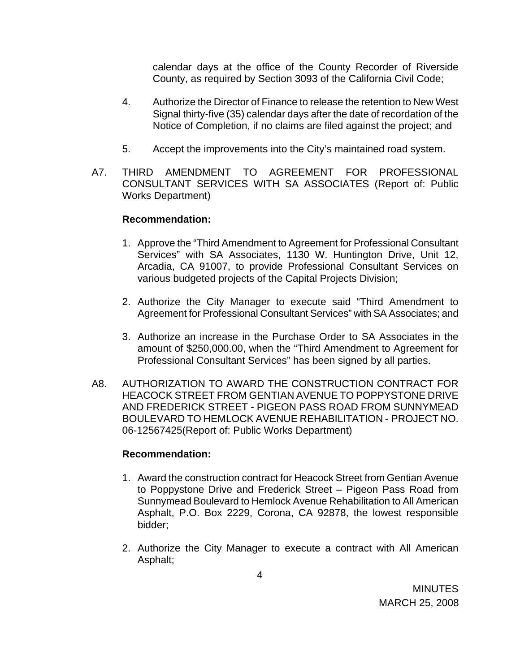calendar days at the office of the County Recorder of Riverside County, as required by Section 3093 of the California Civil Code;

- 4. Authorize the Director of Finance to release the retention to New West Signal thirty-five (35) calendar days after the date of recordation of the Notice of Completion, if no claims are filed against the project; and
- 5. Accept the improvements into the City's maintained road system.
- A7. THIRD AMENDMENT TO AGREEMENT FOR PROFESSIONAL CONSULTANT SERVICES WITH SA ASSOCIATES (Report of: Public Works Department)

## **Recommendation:**

- 1. Approve the "Third Amendment to Agreement for Professional Consultant Services" with SA Associates, 1130 W. Huntington Drive, Unit 12, Arcadia, CA 91007, to provide Professional Consultant Services on various budgeted projects of the Capital Projects Division;
- 2. Authorize the City Manager to execute said "Third Amendment to Agreement for Professional Consultant Services" with SA Associates; and
- 3. Authorize an increase in the Purchase Order to SA Associates in the amount of \$250,000.00, when the "Third Amendment to Agreement for Professional Consultant Services" has been signed by all parties.
- A8. AUTHORIZATION TO AWARD THE CONSTRUCTION CONTRACT FOR HEACOCK STREET FROM GENTIAN AVENUE TO POPPYSTONE DRIVE AND FREDERICK STREET - PIGEON PASS ROAD FROM SUNNYMEAD BOULEVARD TO HEMLOCK AVENUE REHABILITATION - PROJECT NO. 06-12567425(Report of: Public Works Department)

## **Recommendation:**

- 1. Award the construction contract for Heacock Street from Gentian Avenue to Poppystone Drive and Frederick Street – Pigeon Pass Road from Sunnymead Boulevard to Hemlock Avenue Rehabilitation to All American Asphalt, P.O. Box 2229, Corona, CA 92878, the lowest responsible bidder;
- 2. Authorize the City Manager to execute a contract with All American Asphalt;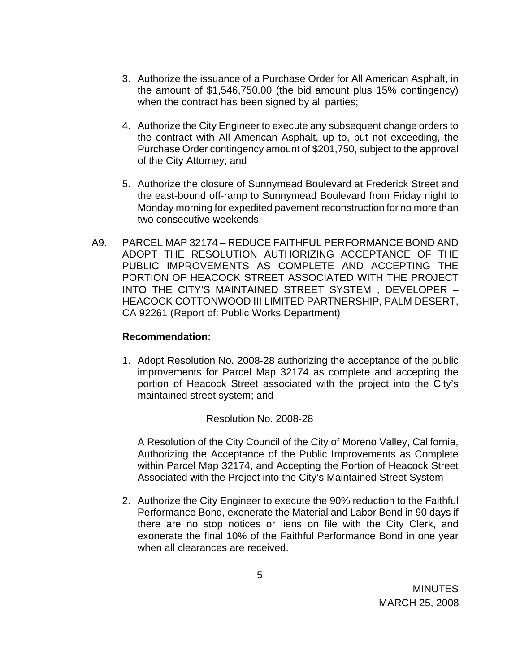- 3. Authorize the issuance of a Purchase Order for All American Asphalt, in the amount of \$1,546,750.00 (the bid amount plus 15% contingency) when the contract has been signed by all parties;
- 4. Authorize the City Engineer to execute any subsequent change orders to the contract with All American Asphalt, up to, but not exceeding, the Purchase Order contingency amount of \$201,750, subject to the approval of the City Attorney; and
- 5. Authorize the closure of Sunnymead Boulevard at Frederick Street and the east-bound off-ramp to Sunnymead Boulevard from Friday night to Monday morning for expedited pavement reconstruction for no more than two consecutive weekends.
- A9. PARCEL MAP 32174 REDUCE FAITHFUL PERFORMANCE BOND AND ADOPT THE RESOLUTION AUTHORIZING ACCEPTANCE OF THE PUBLIC IMPROVEMENTS AS COMPLETE AND ACCEPTING THE PORTION OF HEACOCK STREET ASSOCIATED WITH THE PROJECT INTO THE CITY'S MAINTAINED STREET SYSTEM , DEVELOPER – HEACOCK COTTONWOOD III LIMITED PARTNERSHIP, PALM DESERT, CA 92261 (Report of: Public Works Department)

#### **Recommendation:**

1. Adopt Resolution No. 2008-28 authorizing the acceptance of the public improvements for Parcel Map 32174 as complete and accepting the portion of Heacock Street associated with the project into the City's maintained street system; and

## Resolution No. 2008-28

A Resolution of the City Council of the City of Moreno Valley, California, Authorizing the Acceptance of the Public Improvements as Complete within Parcel Map 32174, and Accepting the Portion of Heacock Street Associated with the Project into the City's Maintained Street System

2. Authorize the City Engineer to execute the 90% reduction to the Faithful Performance Bond, exonerate the Material and Labor Bond in 90 days if there are no stop notices or liens on file with the City Clerk, and exonerate the final 10% of the Faithful Performance Bond in one year when all clearances are received.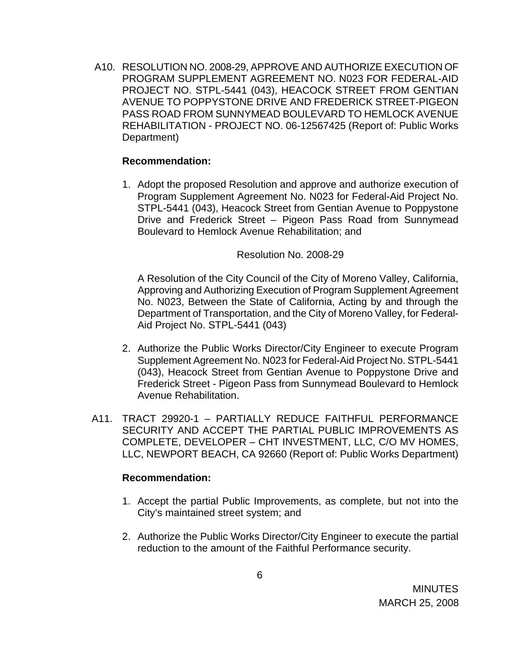A10. RESOLUTION NO. 2008-29, APPROVE AND AUTHORIZE EXECUTION OF PROGRAM SUPPLEMENT AGREEMENT NO. N023 FOR FEDERAL-AID PROJECT NO. STPL-5441 (043), HEACOCK STREET FROM GENTIAN AVENUE TO POPPYSTONE DRIVE AND FREDERICK STREET-PIGEON PASS ROAD FROM SUNNYMEAD BOULEVARD TO HEMLOCK AVENUE REHABILITATION - PROJECT NO. 06-12567425 (Report of: Public Works Department)

### **Recommendation:**

1. Adopt the proposed Resolution and approve and authorize execution of Program Supplement Agreement No. N023 for Federal-Aid Project No. STPL-5441 (043), Heacock Street from Gentian Avenue to Poppystone Drive and Frederick Street – Pigeon Pass Road from Sunnymead Boulevard to Hemlock Avenue Rehabilitation; and

#### Resolution No. 2008-29

A Resolution of the City Council of the City of Moreno Valley, California, Approving and Authorizing Execution of Program Supplement Agreement No. N023, Between the State of California, Acting by and through the Department of Transportation, and the City of Moreno Valley, for Federal-Aid Project No. STPL-5441 (043)

- 2. Authorize the Public Works Director/City Engineer to execute Program Supplement Agreement No. N023 for Federal-Aid Project No. STPL-5441 (043), Heacock Street from Gentian Avenue to Poppystone Drive and Frederick Street - Pigeon Pass from Sunnymead Boulevard to Hemlock Avenue Rehabilitation.
- A11. TRACT 29920-1 PARTIALLY REDUCE FAITHFUL PERFORMANCE SECURITY AND ACCEPT THE PARTIAL PUBLIC IMPROVEMENTS AS COMPLETE, DEVELOPER – CHT INVESTMENT, LLC, C/O MV HOMES, LLC, NEWPORT BEACH, CA 92660 (Report of: Public Works Department)

#### **Recommendation:**

- 1. Accept the partial Public Improvements, as complete, but not into the City's maintained street system; and
- 2. Authorize the Public Works Director/City Engineer to execute the partial reduction to the amount of the Faithful Performance security.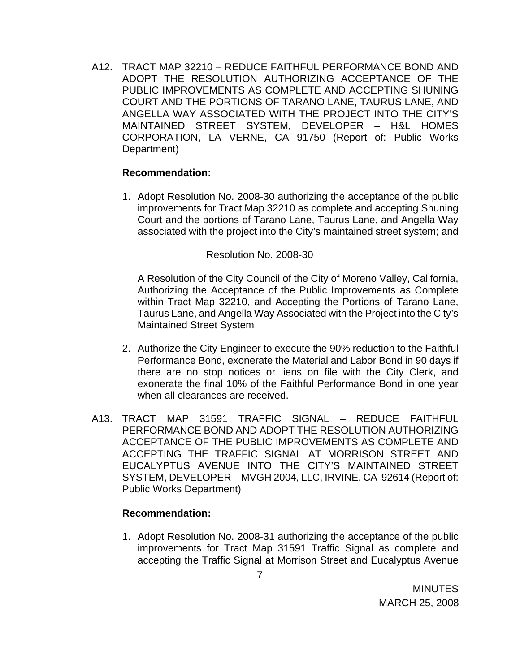A12. TRACT MAP 32210 – REDUCE FAITHFUL PERFORMANCE BOND AND ADOPT THE RESOLUTION AUTHORIZING ACCEPTANCE OF THE PUBLIC IMPROVEMENTS AS COMPLETE AND ACCEPTING SHUNING COURT AND THE PORTIONS OF TARANO LANE, TAURUS LANE, AND ANGELLA WAY ASSOCIATED WITH THE PROJECT INTO THE CITY'S MAINTAINED STREET SYSTEM, DEVELOPER – H&L HOMES CORPORATION, LA VERNE, CA 91750 (Report of: Public Works Department)

#### **Recommendation:**

1. Adopt Resolution No. 2008-30 authorizing the acceptance of the public improvements for Tract Map 32210 as complete and accepting Shuning Court and the portions of Tarano Lane, Taurus Lane, and Angella Way associated with the project into the City's maintained street system; and

#### Resolution No. 2008-30

A Resolution of the City Council of the City of Moreno Valley, California, Authorizing the Acceptance of the Public Improvements as Complete within Tract Map 32210, and Accepting the Portions of Tarano Lane, Taurus Lane, and Angella Way Associated with the Project into the City's Maintained Street System

- 2. Authorize the City Engineer to execute the 90% reduction to the Faithful Performance Bond, exonerate the Material and Labor Bond in 90 days if there are no stop notices or liens on file with the City Clerk, and exonerate the final 10% of the Faithful Performance Bond in one year when all clearances are received.
- A13. TRACT MAP 31591 TRAFFIC SIGNAL REDUCE FAITHFUL PERFORMANCE BOND AND ADOPT THE RESOLUTION AUTHORIZING ACCEPTANCE OF THE PUBLIC IMPROVEMENTS AS COMPLETE AND ACCEPTING THE TRAFFIC SIGNAL AT MORRISON STREET AND EUCALYPTUS AVENUE INTO THE CITY'S MAINTAINED STREET SYSTEM, DEVELOPER – MVGH 2004, LLC, IRVINE, CA 92614 (Report of: Public Works Department)

## **Recommendation:**

1. Adopt Resolution No. 2008-31 authorizing the acceptance of the public improvements for Tract Map 31591 Traffic Signal as complete and accepting the Traffic Signal at Morrison Street and Eucalyptus Avenue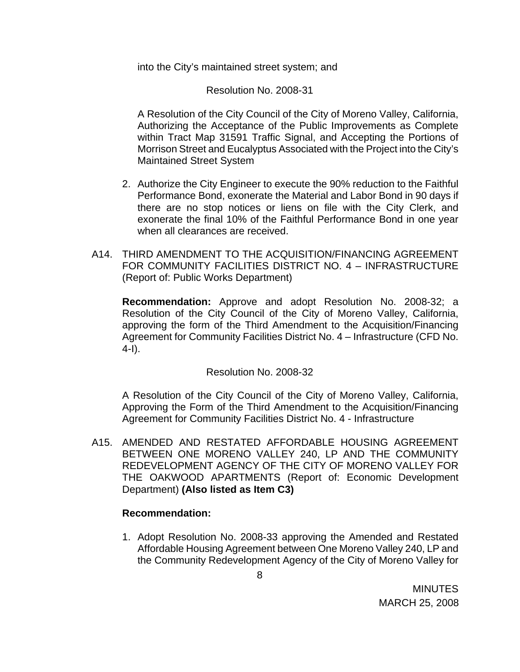into the City's maintained street system; and

Resolution No. 2008-31

A Resolution of the City Council of the City of Moreno Valley, California, Authorizing the Acceptance of the Public Improvements as Complete within Tract Map 31591 Traffic Signal, and Accepting the Portions of Morrison Street and Eucalyptus Associated with the Project into the City's Maintained Street System

- 2. Authorize the City Engineer to execute the 90% reduction to the Faithful Performance Bond, exonerate the Material and Labor Bond in 90 days if there are no stop notices or liens on file with the City Clerk, and exonerate the final 10% of the Faithful Performance Bond in one year when all clearances are received.
- A14. THIRD AMENDMENT TO THE ACQUISITION/FINANCING AGREEMENT FOR COMMUNITY FACILITIES DISTRICT NO. 4 – INFRASTRUCTURE (Report of: Public Works Department)

 **Recommendation:** Approve and adopt Resolution No. 2008-32; a Resolution of the City Council of the City of Moreno Valley, California, approving the form of the Third Amendment to the Acquisition/Financing Agreement for Community Facilities District No. 4 – Infrastructure (CFD No. 4-I).

## Resolution No. 2008-32

 A Resolution of the City Council of the City of Moreno Valley, California, Approving the Form of the Third Amendment to the Acquisition/Financing Agreement for Community Facilities District No. 4 - Infrastructure

A15. AMENDED AND RESTATED AFFORDABLE HOUSING AGREEMENT BETWEEN ONE MORENO VALLEY 240, LP AND THE COMMUNITY REDEVELOPMENT AGENCY OF THE CITY OF MORENO VALLEY FOR THE OAKWOOD APARTMENTS (Report of: Economic Development Department) **(Also listed as Item C3)** 

## **Recommendation:**

1. Adopt Resolution No. 2008-33 approving the Amended and Restated Affordable Housing Agreement between One Moreno Valley 240, LP and the Community Redevelopment Agency of the City of Moreno Valley for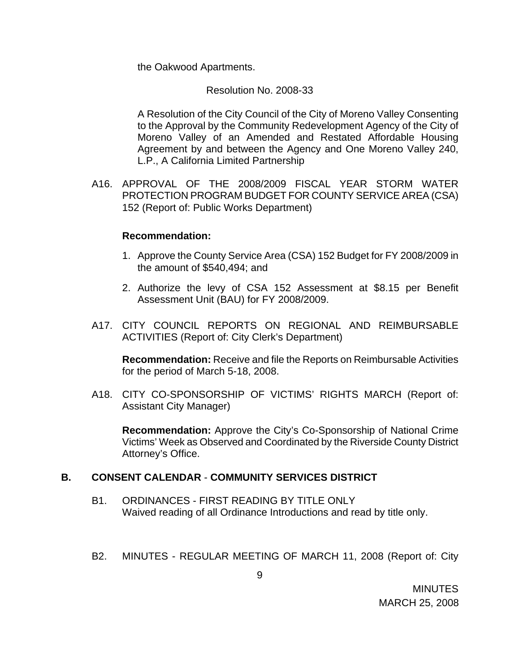the Oakwood Apartments.

Resolution No. 2008-33

A Resolution of the City Council of the City of Moreno Valley Consenting to the Approval by the Community Redevelopment Agency of the City of Moreno Valley of an Amended and Restated Affordable Housing Agreement by and between the Agency and One Moreno Valley 240, L.P., A California Limited Partnership

A16. APPROVAL OF THE 2008/2009 FISCAL YEAR STORM WATER PROTECTION PROGRAM BUDGET FOR COUNTY SERVICE AREA (CSA) 152 (Report of: Public Works Department)

#### **Recommendation:**

- 1. Approve the County Service Area (CSA) 152 Budget for FY 2008/2009 in the amount of \$540,494; and
- 2. Authorize the levy of CSA 152 Assessment at \$8.15 per Benefit Assessment Unit (BAU) for FY 2008/2009.
- A17. CITY COUNCIL REPORTS ON REGIONAL AND REIMBURSABLE ACTIVITIES (Report of: City Clerk's Department)

**Recommendation:** Receive and file the Reports on Reimbursable Activities for the period of March 5-18, 2008.

A18. CITY CO-SPONSORSHIP OF VICTIMS' RIGHTS MARCH (Report of: Assistant City Manager)

 **Recommendation:** Approve the City's Co-Sponsorship of National Crime Victims' Week as Observed and Coordinated by the Riverside County District Attorney's Office.

#### **B. CONSENT CALENDAR** - **COMMUNITY SERVICES DISTRICT**

- B1. ORDINANCES FIRST READING BY TITLE ONLY Waived reading of all Ordinance Introductions and read by title only.
- B2. MINUTES REGULAR MEETING OF MARCH 11, 2008 (Report of: City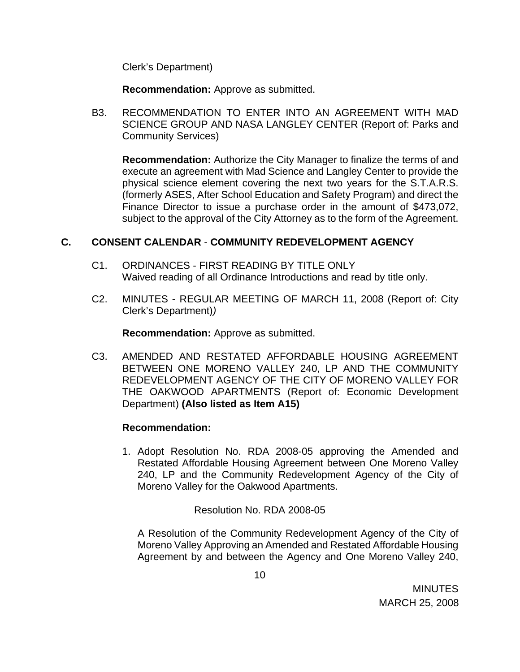Clerk's Department)

**Recommendation:** Approve as submitted.

B3. RECOMMENDATION TO ENTER INTO AN AGREEMENT WITH MAD SCIENCE GROUP AND NASA LANGLEY CENTER (Report of: Parks and Community Services)

**Recommendation:** Authorize the City Manager to finalize the terms of and execute an agreement with Mad Science and Langley Center to provide the physical science element covering the next two years for the S.T.A.R.S. (formerly ASES, After School Education and Safety Program) and direct the Finance Director to issue a purchase order in the amount of \$473,072, subject to the approval of the City Attorney as to the form of the Agreement.

## **C. CONSENT CALENDAR** - **COMMUNITY REDEVELOPMENT AGENCY**

- C1. ORDINANCES FIRST READING BY TITLE ONLY Waived reading of all Ordinance Introductions and read by title only.
- C2. MINUTES REGULAR MEETING OF MARCH 11, 2008 (Report of: City Clerk's Department)*)*

**Recommendation:** Approve as submitted.

C3. AMENDED AND RESTATED AFFORDABLE HOUSING AGREEMENT BETWEEN ONE MORENO VALLEY 240, LP AND THE COMMUNITY REDEVELOPMENT AGENCY OF THE CITY OF MORENO VALLEY FOR THE OAKWOOD APARTMENTS (Report of: Economic Development Department) **(Also listed as Item A15)** 

## **Recommendation:**

1. Adopt Resolution No. RDA 2008-05 approving the Amended and Restated Affordable Housing Agreement between One Moreno Valley 240, LP and the Community Redevelopment Agency of the City of Moreno Valley for the Oakwood Apartments.

Resolution No. RDA 2008-05

A Resolution of the Community Redevelopment Agency of the City of Moreno Valley Approving an Amended and Restated Affordable Housing Agreement by and between the Agency and One Moreno Valley 240,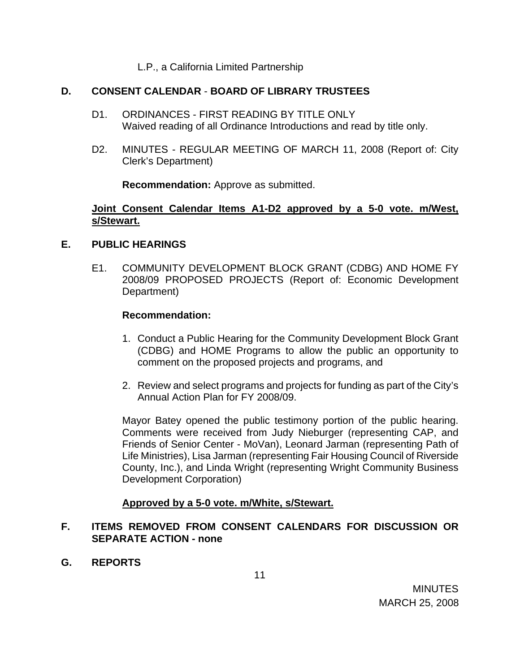### L.P., a California Limited Partnership

### **D. CONSENT CALENDAR** - **BOARD OF LIBRARY TRUSTEES**

- D1. ORDINANCES FIRST READING BY TITLE ONLY Waived reading of all Ordinance Introductions and read by title only.
- D2. MINUTES REGULAR MEETING OF MARCH 11, 2008 (Report of: City Clerk's Department)

**Recommendation:** Approve as submitted.

### **Joint Consent Calendar Items A1-D2 approved by a 5-0 vote. m/West, s/Stewart.**

#### **E. PUBLIC HEARINGS**

E1. COMMUNITY DEVELOPMENT BLOCK GRANT (CDBG) AND HOME FY 2008/09 PROPOSED PROJECTS (Report of: Economic Development Department)

#### **Recommendation:**

- 1. Conduct a Public Hearing for the Community Development Block Grant (CDBG) and HOME Programs to allow the public an opportunity to comment on the proposed projects and programs, and
- 2. Review and select programs and projects for funding as part of the City's Annual Action Plan for FY 2008/09.

Mayor Batey opened the public testimony portion of the public hearing. Comments were received from Judy Nieburger (representing CAP, and Friends of Senior Center - MoVan), Leonard Jarman (representing Path of Life Ministries), Lisa Jarman (representing Fair Housing Council of Riverside County, Inc.), and Linda Wright (representing Wright Community Business Development Corporation)

## **Approved by a 5-0 vote. m/White, s/Stewart.**

## **F. ITEMS REMOVED FROM CONSENT CALENDARS FOR DISCUSSION OR SEPARATE ACTION - none**

**G. REPORTS**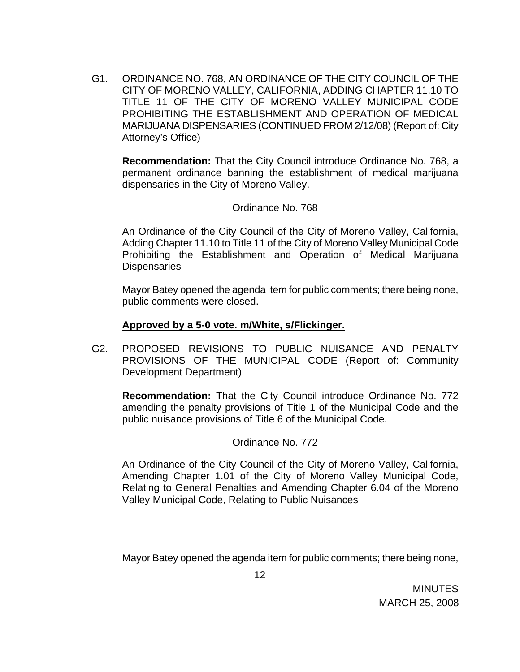G1. ORDINANCE NO. 768, AN ORDINANCE OF THE CITY COUNCIL OF THE CITY OF MORENO VALLEY, CALIFORNIA, ADDING CHAPTER 11.10 TO TITLE 11 OF THE CITY OF MORENO VALLEY MUNICIPAL CODE PROHIBITING THE ESTABLISHMENT AND OPERATION OF MEDICAL MARIJUANA DISPENSARIES (CONTINUED FROM 2/12/08) (Report of: City Attorney's Office)

**Recommendation:** That the City Council introduce Ordinance No. 768, a permanent ordinance banning the establishment of medical marijuana dispensaries in the City of Moreno Valley.

Ordinance No. 768

An Ordinance of the City Council of the City of Moreno Valley, California, Adding Chapter 11.10 to Title 11 of the City of Moreno Valley Municipal Code Prohibiting the Establishment and Operation of Medical Marijuana **Dispensaries** 

 Mayor Batey opened the agenda item for public comments; there being none, public comments were closed.

## **Approved by a 5-0 vote. m/White, s/Flickinger.**

G2. PROPOSED REVISIONS TO PUBLIC NUISANCE AND PENALTY PROVISIONS OF THE MUNICIPAL CODE (Report of: Community Development Department)

**Recommendation:** That the City Council introduce Ordinance No. 772 amending the penalty provisions of Title 1 of the Municipal Code and the public nuisance provisions of Title 6 of the Municipal Code.

Ordinance No. 772

An Ordinance of the City Council of the City of Moreno Valley, California, Amending Chapter 1.01 of the City of Moreno Valley Municipal Code, Relating to General Penalties and Amending Chapter 6.04 of the Moreno Valley Municipal Code, Relating to Public Nuisances

Mayor Batey opened the agenda item for public comments; there being none,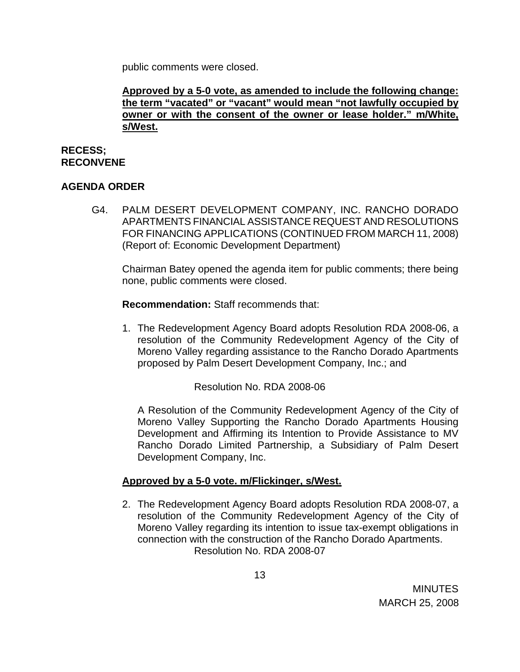public comments were closed.

**Approved by a 5-0 vote, as amended to include the following change: the term "vacated" or "vacant" would mean "not lawfully occupied by owner or with the consent of the owner or lease holder." m/White, s/West.**

## **RECESS; RECONVENE**

# **AGENDA ORDER**

G4. PALM DESERT DEVELOPMENT COMPANY, INC. RANCHO DORADO APARTMENTS FINANCIAL ASSISTANCE REQUEST AND RESOLUTIONS FOR FINANCING APPLICATIONS (CONTINUED FROM MARCH 11, 2008) (Report of: Economic Development Department)

Chairman Batey opened the agenda item for public comments; there being none, public comments were closed.

 **Recommendation:** Staff recommends that:

1. The Redevelopment Agency Board adopts Resolution RDA 2008-06, a resolution of the Community Redevelopment Agency of the City of Moreno Valley regarding assistance to the Rancho Dorado Apartments proposed by Palm Desert Development Company, Inc.; and

Resolution No. RDA 2008-06

A Resolution of the Community Redevelopment Agency of the City of Moreno Valley Supporting the Rancho Dorado Apartments Housing Development and Affirming its Intention to Provide Assistance to MV Rancho Dorado Limited Partnership, a Subsidiary of Palm Desert Development Company, Inc.

## **Approved by a 5-0 vote. m/Flickinger, s/West.**

2. The Redevelopment Agency Board adopts Resolution RDA 2008-07, a resolution of the Community Redevelopment Agency of the City of Moreno Valley regarding its intention to issue tax-exempt obligations in connection with the construction of the Rancho Dorado Apartments. Resolution No. RDA 2008-07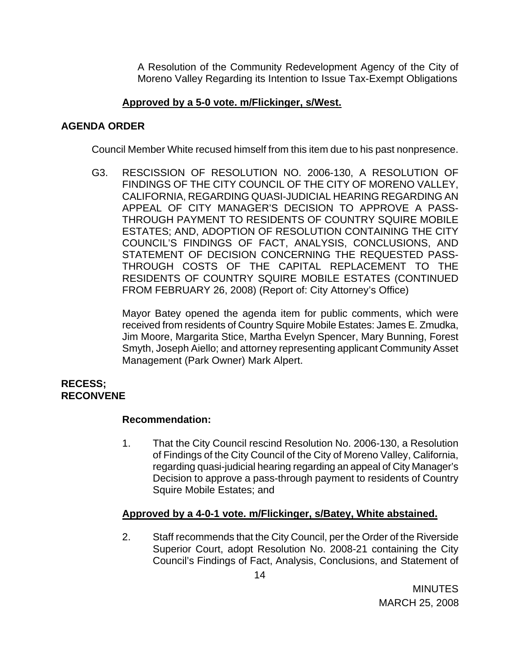A Resolution of the Community Redevelopment Agency of the City of Moreno Valley Regarding its Intention to Issue Tax-Exempt Obligations

## **Approved by a 5-0 vote. m/Flickinger, s/West.**

## **AGENDA ORDER**

Council Member White recused himself from this item due to his past nonpresence.

G3. RESCISSION OF RESOLUTION NO. 2006-130, A RESOLUTION OF FINDINGS OF THE CITY COUNCIL OF THE CITY OF MORENO VALLEY, CALIFORNIA, REGARDING QUASI-JUDICIAL HEARING REGARDING AN APPEAL OF CITY MANAGER'S DECISION TO APPROVE A PASS-THROUGH PAYMENT TO RESIDENTS OF COUNTRY SQUIRE MOBILE ESTATES; AND, ADOPTION OF RESOLUTION CONTAINING THE CITY COUNCIL'S FINDINGS OF FACT, ANALYSIS, CONCLUSIONS, AND STATEMENT OF DECISION CONCERNING THE REQUESTED PASS-THROUGH COSTS OF THE CAPITAL REPLACEMENT TO THE RESIDENTS OF COUNTRY SQUIRE MOBILE ESTATES (CONTINUED FROM FEBRUARY 26, 2008) (Report of: City Attorney's Office)

 Mayor Batey opened the agenda item for public comments, which were received from residents of Country Squire Mobile Estates: James E. Zmudka, Jim Moore, Margarita Stice, Martha Evelyn Spencer, Mary Bunning, Forest Smyth, Joseph Aiello; and attorney representing applicant Community Asset Management (Park Owner) Mark Alpert.

#### **RECESS; RECONVENE**

## **Recommendation:**

1. That the City Council rescind Resolution No. 2006-130, a Resolution of Findings of the City Council of the City of Moreno Valley, California, regarding quasi-judicial hearing regarding an appeal of City Manager's Decision to approve a pass-through payment to residents of Country Squire Mobile Estates; and

## **Approved by a 4-0-1 vote. m/Flickinger, s/Batey, White abstained.**

2. Staff recommends that the City Council, per the Order of the Riverside Superior Court, adopt Resolution No. 2008-21 containing the City Council's Findings of Fact, Analysis, Conclusions, and Statement of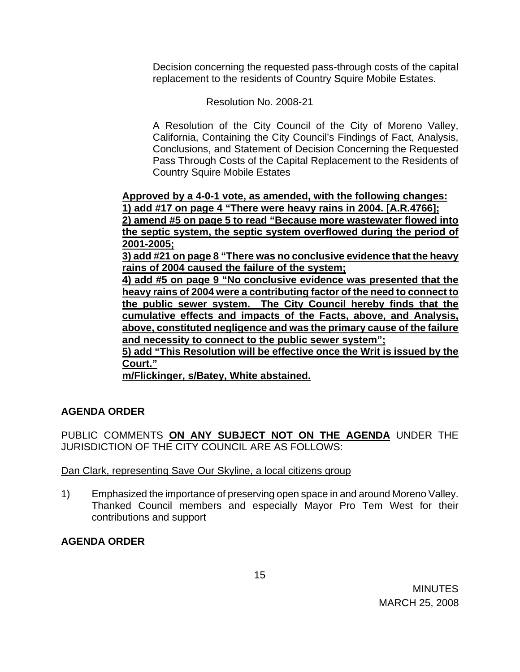Decision concerning the requested pass-through costs of the capital replacement to the residents of Country Squire Mobile Estates.

Resolution No. 2008-21

A Resolution of the City Council of the City of Moreno Valley, California, Containing the City Council's Findings of Fact, Analysis, Conclusions, and Statement of Decision Concerning the Requested Pass Through Costs of the Capital Replacement to the Residents of Country Squire Mobile Estates

**Approved by a 4-0-1 vote, as amended, with the following changes: 1) add #17 on page 4 "There were heavy rains in 2004. [A.R.4766]; 2) amend #5 on page 5 to read "Because more wastewater flowed into the septic system, the septic system overflowed during the period of 2001-2005;**

**3) add #21 on page 8 "There was no conclusive evidence that the heavy rains of 2004 caused the failure of the system;**

**4) add #5 on page 9 "No conclusive evidence was presented that the heavy rains of 2004 were a contributing factor of the need to connect to the public sewer system. The City Council hereby finds that the cumulative effects and impacts of the Facts, above, and Analysis, above, constituted negligence and was the primary cause of the failure and necessity to connect to the public sewer system";**

**5) add "This Resolution will be effective once the Writ is issued by the Court."**

**m/Flickinger, s/Batey, White abstained.**

# **AGENDA ORDER**

PUBLIC COMMENTS **ON ANY SUBJECT NOT ON THE AGENDA** UNDER THE JURISDICTION OF THE CITY COUNCIL ARE AS FOLLOWS:

## Dan Clark, representing Save Our Skyline, a local citizens group

1) Emphasized the importance of preserving open space in and around Moreno Valley. Thanked Council members and especially Mayor Pro Tem West for their contributions and support

# **AGENDA ORDER**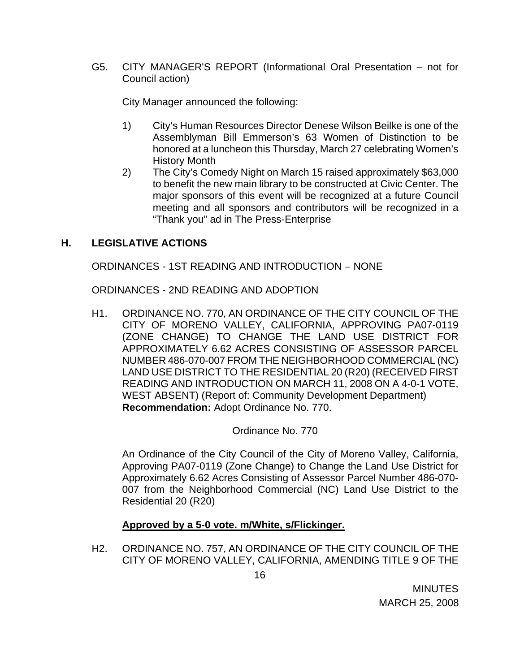G5. CITY MANAGER'S REPORT (Informational Oral Presentation – not for Council action)

City Manager announced the following:

- 1) City's Human Resources Director Denese Wilson Beilke is one of the Assemblyman Bill Emmerson's 63 Women of Distinction to be honored at a luncheon this Thursday, March 27 celebrating Women's History Month
- 2) The City's Comedy Night on March 15 raised approximately \$63,000 to benefit the new main library to be constructed at Civic Center. The major sponsors of this event will be recognized at a future Council meeting and all sponsors and contributors will be recognized in a "Thank you" ad in The Press-Enterprise

# **H. LEGISLATIVE ACTIONS**

ORDINANCES - 1ST READING AND INTRODUCTION – NONE

ORDINANCES - 2ND READING AND ADOPTION

H1. ORDINANCE NO. 770, AN ORDINANCE OF THE CITY COUNCIL OF THE CITY OF MORENO VALLEY, CALIFORNIA, APPROVING PA07-0119 (ZONE CHANGE) TO CHANGE THE LAND USE DISTRICT FOR APPROXIMATELY 6.62 ACRES CONSISTING OF ASSESSOR PARCEL NUMBER 486-070-007 FROM THE NEIGHBORHOOD COMMERCIAL (NC) LAND USE DISTRICT TO THE RESIDENTIAL 20 (R20) (RECEIVED FIRST READING AND INTRODUCTION ON MARCH 11, 2008 ON A 4-0-1 VOTE, WEST ABSENT) (Report of: Community Development Department) **Recommendation:** Adopt Ordinance No. 770.

Ordinance No. 770

An Ordinance of the City Council of the City of Moreno Valley, California, Approving PA07-0119 (Zone Change) to Change the Land Use District for Approximately 6.62 Acres Consisting of Assessor Parcel Number 486-070- 007 from the Neighborhood Commercial (NC) Land Use District to the Residential 20 (R20)

## **Approved by a 5-0 vote. m/White, s/Flickinger.**

H2. ORDINANCE NO. 757, AN ORDINANCE OF THE CITY COUNCIL OF THE CITY OF MORENO VALLEY, CALIFORNIA, AMENDING TITLE 9 OF THE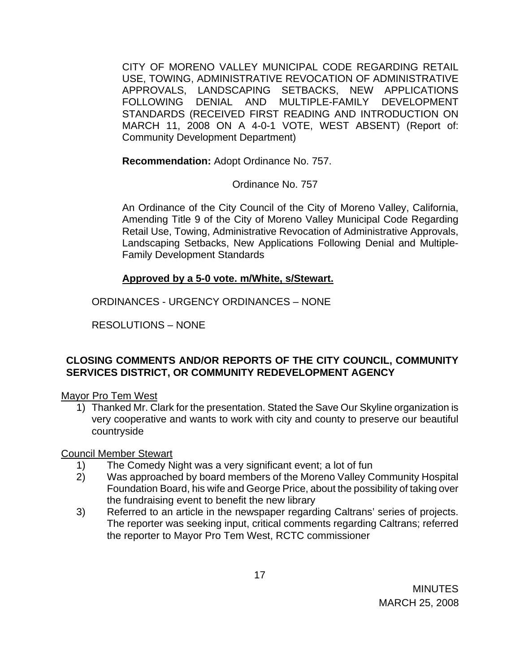CITY OF MORENO VALLEY MUNICIPAL CODE REGARDING RETAIL USE, TOWING, ADMINISTRATIVE REVOCATION OF ADMINISTRATIVE APPROVALS, LANDSCAPING SETBACKS, NEW APPLICATIONS FOLLOWING DENIAL AND MULTIPLE-FAMILY DEVELOPMENT STANDARDS (RECEIVED FIRST READING AND INTRODUCTION ON MARCH 11, 2008 ON A 4-0-1 VOTE, WEST ABSENT) (Report of: Community Development Department)

**Recommendation:** Adopt Ordinance No. 757.

Ordinance No. 757

An Ordinance of the City Council of the City of Moreno Valley, California, Amending Title 9 of the City of Moreno Valley Municipal Code Regarding Retail Use, Towing, Administrative Revocation of Administrative Approvals, Landscaping Setbacks, New Applications Following Denial and Multiple-Family Development Standards

# **Approved by a 5-0 vote. m/White, s/Stewart.**

ORDINANCES - URGENCY ORDINANCES – NONE

RESOLUTIONS – NONE

# **CLOSING COMMENTS AND/OR REPORTS OF THE CITY COUNCIL, COMMUNITY SERVICES DISTRICT, OR COMMUNITY REDEVELOPMENT AGENCY**

# Mayor Pro Tem West

1) Thanked Mr. Clark for the presentation. Stated the Save Our Skyline organization is very cooperative and wants to work with city and county to preserve our beautiful countryside

Council Member Stewart

- 1) The Comedy Night was a very significant event; a lot of fun
- 2) Was approached by board members of the Moreno Valley Community Hospital Foundation Board, his wife and George Price, about the possibility of taking over the fundraising event to benefit the new library
- 3) Referred to an article in the newspaper regarding Caltrans' series of projects. The reporter was seeking input, critical comments regarding Caltrans; referred the reporter to Mayor Pro Tem West, RCTC commissioner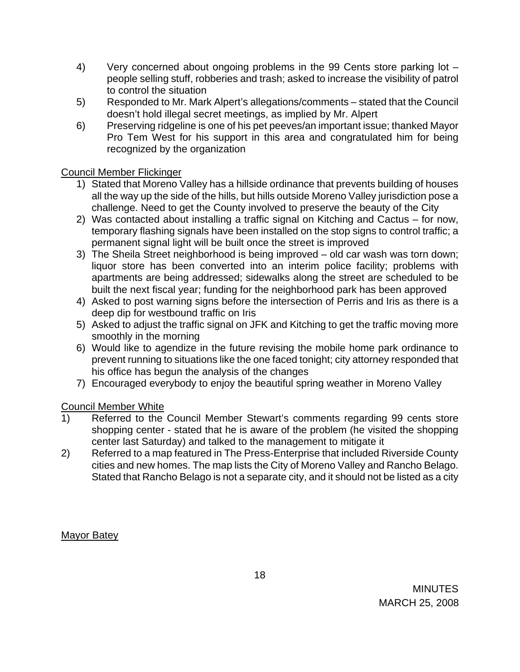- 4) Very concerned about ongoing problems in the 99 Cents store parking lot people selling stuff, robberies and trash; asked to increase the visibility of patrol to control the situation
- 5) Responded to Mr. Mark Alpert's allegations/comments stated that the Council doesn't hold illegal secret meetings, as implied by Mr. Alpert
- 6) Preserving ridgeline is one of his pet peeves/an important issue; thanked Mayor Pro Tem West for his support in this area and congratulated him for being recognized by the organization

# Council Member Flickinger

- 1) Stated that Moreno Valley has a hillside ordinance that prevents building of houses all the way up the side of the hills, but hills outside Moreno Valley jurisdiction pose a challenge. Need to get the County involved to preserve the beauty of the City
- 2) Was contacted about installing a traffic signal on Kitching and Cactus for now, temporary flashing signals have been installed on the stop signs to control traffic; a permanent signal light will be built once the street is improved
- 3) The Sheila Street neighborhood is being improved old car wash was torn down; liquor store has been converted into an interim police facility; problems with apartments are being addressed; sidewalks along the street are scheduled to be built the next fiscal year; funding for the neighborhood park has been approved
- 4) Asked to post warning signs before the intersection of Perris and Iris as there is a deep dip for westbound traffic on Iris
- 5) Asked to adjust the traffic signal on JFK and Kitching to get the traffic moving more smoothly in the morning
- 6) Would like to agendize in the future revising the mobile home park ordinance to prevent running to situations like the one faced tonight; city attorney responded that his office has begun the analysis of the changes
- 7) Encouraged everybody to enjoy the beautiful spring weather in Moreno Valley

# Council Member White

- 1) Referred to the Council Member Stewart's comments regarding 99 cents store shopping center - stated that he is aware of the problem (he visited the shopping center last Saturday) and talked to the management to mitigate it
- 2) Referred to a map featured in The Press-Enterprise that included Riverside County cities and new homes. The map lists the City of Moreno Valley and Rancho Belago. Stated that Rancho Belago is not a separate city, and it should not be listed as a city

Mayor Batey